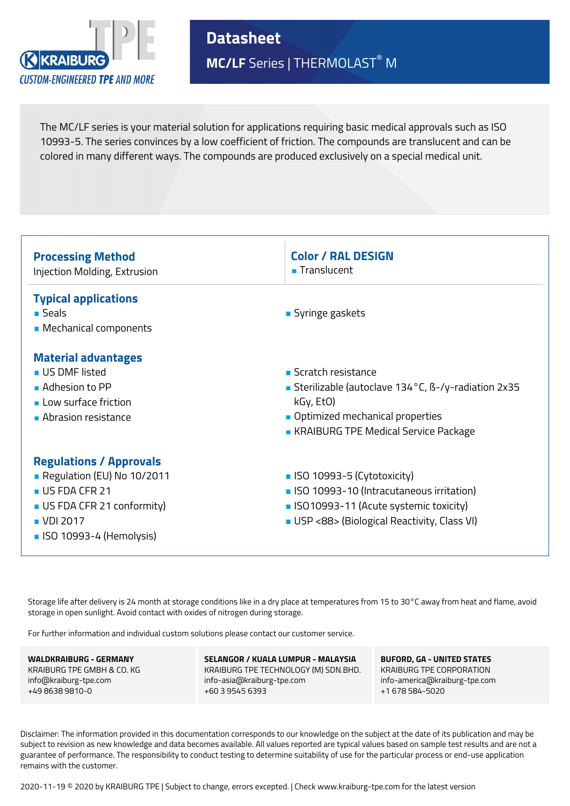

**Datasheet MC/LF** Series | THERMOLAST® M

The MC/LF series is your material solution for applications requiring basic medical approvals such as ISO 10993-5. The series convinces by a low coefficient of friction. The compounds are translucent and can be colored in many different ways. The compounds are produced exclusively on a special medical unit.

| <b>Processing Method</b>                                                                                                                              | <b>Color / RAL DESIGN</b>                                                                                                                                           |
|-------------------------------------------------------------------------------------------------------------------------------------------------------|---------------------------------------------------------------------------------------------------------------------------------------------------------------------|
| Injection Molding, Extrusion                                                                                                                          | ■ Translucent                                                                                                                                                       |
| <b>Typical applications</b><br>∎ Seals<br>• Mechanical components                                                                                     | ■ Syringe gaskets                                                                                                                                                   |
| <b>Material advantages</b>                                                                                                                            | ■ Scratch resistance                                                                                                                                                |
| <b>US DMF listed</b>                                                                                                                                  | Sterilizable (autoclave 134°C, B-/y-radiation 2x35                                                                                                                  |
| $\blacksquare$ Adhesion to PP                                                                                                                         | kGy, EtO)                                                                                                                                                           |
| Low surface friction                                                                                                                                  | • Optimized mechanical properties                                                                                                                                   |
| Abrasion resistance                                                                                                                                   | • KRAIBURG TPE Medical Service Package                                                                                                                              |
| <b>Regulations / Approvals</b><br>Regulation (EU) No 10/2011<br>US FDA CFR 21<br>US FDA CFR 21 conformity)<br>■ VDI 2017<br>• ISO 10993-4 (Hemolysis) | ■ ISO 10993-5 (Cytotoxicity)<br>• ISO 10993-10 (Intracutaneous irritation)<br>• ISO10993-11 (Acute systemic toxicity)<br>USP <88> (Biological Reactivity, Class VI) |

Storage life after delivery is 24 month at storage conditions like in a dry place at temperatures from 15 to 30°C away from heat and flame, avoid storage in open sunlight. Avoid contact with oxides of nitrogen during storage.

For further information and individual custom solutions please contact our customer service.

**WALDKRAIBURG - GERMANY** KRAIBURG TPE GMBH & CO. KG info@kraiburg-tpe.com +49 8638 9810-0

**SELANGOR / KUALA LUMPUR - MALAYSIA** KRAIBURG TPE TECHNOLOGY (M) SDN.BHD. info-asia@kraiburg-tpe.com +60 3 9545 6393

**BUFORD, GA - UNITED STATES** KRAIBURG TPE CORPORATION info-america@kraiburg-tpe.com +1 678 584-5020

Disclaimer: The information provided in this documentation corresponds to our knowledge on the subject at the date of its publication and may be subject to revision as new knowledge and data becomes available. All values reported are typical values based on sample test results and are not a guarantee of performance. The responsibility to conduct testing to determine suitability of use for the particular process or end-use application remains with the customer.

2020-11-19 © 2020 by KRAIBURG TPE | Subject to change, errors excepted. | Check www.kraiburg-tpe.com for the latest version